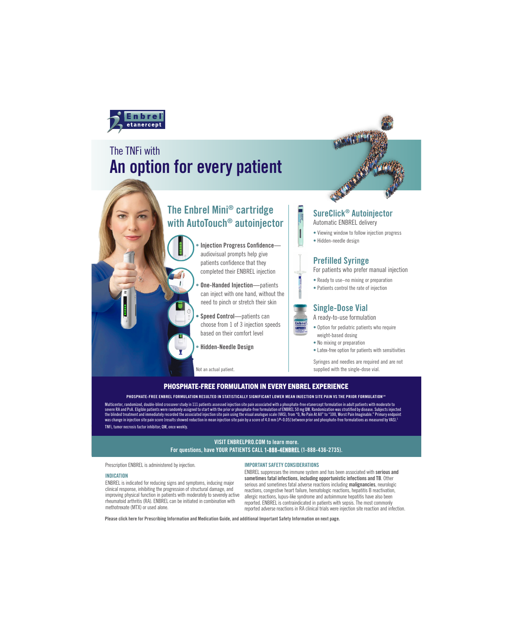

# An option for every patient The TNFi with

## The Enbrel Mini® cartridge with AutoTouch® autoinjector

- Injection Progress Confidence audiovisual prompts help give patients confidence that they completed their ENBREL injection
- **One-Handed Injection**—patients can inject with one hand, without the need to pinch or stretch their skin
- Speed Control—patients can choose from 1 of 3 injection speeds based on their comfort level
- Hidden-Needle Design

Not an actual patient.

## SureClick® Autoinjector

Automatic ENBREL delivery

- Viewing window to follow injection progress
- Hidden-needle design

## Prefilled Syringe

For patients who prefer manual injection

- Ready to use–no mixing or preparation
- Patients control the rate of injection

### Single-Dose Vial

A ready-to-use formulation

- Option for pediatric patients who require weight-based dosing
- No mixing or preparation
- Latex-free option for patients with sensitivities

Syringes and needles are required and are not supplied with the single-dose vial.

### PHOSPHATE-FREE FORMULATION IN EVERY ENBREL EXPERIENCE

#### PHOSPHATE-FREE ENBREL FORMULATION RESULTED IN STATISTICALLY SIGNIFICANT LOWER MEAN INJECTION SITE PAIN VS THE PRIOR FORMULATION1 \*

severe RA and PsA. Eligible patients were randomly assigned to start with the prior or phosphate-free formulation of ENBREL 50 mg QW. Randomization was stratified by disease. Subjects injected<br>the blinded treatment and imm Multicenter, randomized, double-blind crossover study in 111 patients assessed injection site pain associated with a phosphate-free etanercept formulation in adult patients with moderate to the blinded treatment and immediately recorded the associated injection site pain using the visual analogue scale (VAS), from "0, No Pain At All" to "100, Worst Pain Imaginable." Primary endpoint was change in injection site pain score (results showed reduction in mean injection site pain by a score of 4.0 mm [*P*<0.05] between prior and phosphate-free formulations as measured by VAS).<sup>1</sup> TNFi, tumor necrosis factor inhibitor; QW, once weekly.

#### VISIT ENBRELPRO.COM to learn more. For questions, have YOUR PATIENTS CALL 1-888-4ENBREL (1-888-436-2735).

Prescription ENBREL is administered by injection.

#### INDICATION

ENBREL is indicated for reducing signs and symptoms, inducing major clinical response, inhibiting the progression of structural damage, and improving physical function in patients with moderately to severely active rheumatoid arthritis (RA). ENBREL can be initiated in combination with methotrexate (MTX) or used alone.

#### IMPORTANT SAFETY CONSIDERATIONS

ENBREL suppresses the immune system and has been associated with serious and sometimes fatal infections, including opportunistic infections and TB. Other serious and sometimes fatal adverse reactions including **malignancies**, neurologic reactions, congestive heart failure, hematologic reactions, hepatitis B reactivation, allergic reactions, lupus-like syndrome and autoimmune hepatitis have also been reported. ENBREL is contraindicated in patients with sepsis. The most commonly reported adverse reactions in RA clinical trials were injection site reaction and infection.

Please click here for Prescribing Information and Medication Guide, and additional Important Safety Information on next page.